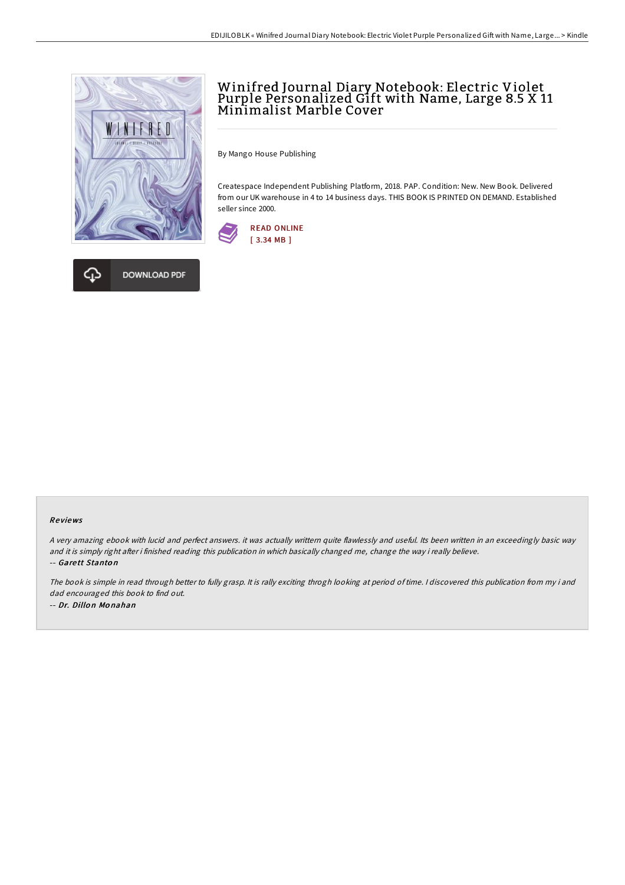



## Winifred Journal Diary Notebook: Electric Violet Purple Personalized Gift with Name, Large 8.5 X 11 Minimalist Marble Cover

By Mango House Publishing

Createspace Independent Publishing Platform, 2018. PAP. Condition: New. New Book. Delivered from our UK warehouse in 4 to 14 business days. THIS BOOK IS PRINTED ON DEMAND. Established seller since 2000.



## Re views

<sup>A</sup> very amazing ebook with lucid and perfect answers. it was actually writtern quite flawlessly and useful. Its been written in an exceedingly basic way and it is simply right after i finished reading this publication in which basically changed me, change the way i really believe. -- Gare tt Stanto n

The book is simple in read through better to fully grasp. It is rally exciting throgh looking at period of time. <sup>I</sup> discovered this publication from my i and dad encouraged this book to find out. -- Dr. Dillo <sup>n</sup> Mo nahan